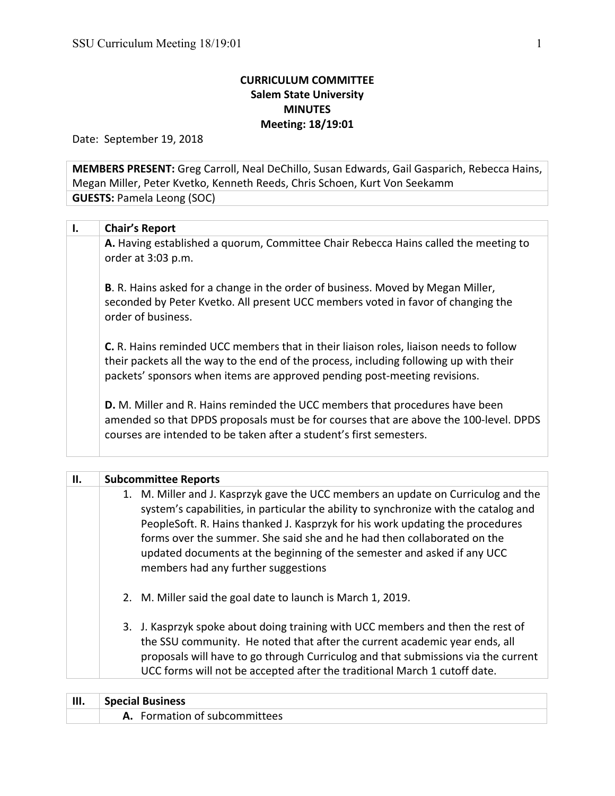## **CURRICULUM COMMITTEE Salem State University MINUTES Meeting: 18/19:01**

Date: September 19, 2018

**MEMBERS PRESENT:** Greg Carroll, Neal DeChillo, Susan Edwards, Gail Gasparich, Rebecca Hains, Megan Miller, Peter Kvetko, Kenneth Reeds, Chris Schoen, Kurt Von Seekamm **GUESTS: Pamela Leong (SOC)** 

| Ι. | <b>Chair's Report</b>                                                                                                                                                                                                                                               |
|----|---------------------------------------------------------------------------------------------------------------------------------------------------------------------------------------------------------------------------------------------------------------------|
|    | A. Having established a quorum, Committee Chair Rebecca Hains called the meeting to<br>order at 3:03 p.m.                                                                                                                                                           |
|    | <b>B.</b> R. Hains asked for a change in the order of business. Moved by Megan Miller,<br>seconded by Peter Kvetko. All present UCC members voted in favor of changing the<br>order of business.                                                                    |
|    | <b>C.</b> R. Hains reminded UCC members that in their liaison roles, liaison needs to follow<br>their packets all the way to the end of the process, including following up with their<br>packets' sponsors when items are approved pending post-meeting revisions. |
|    | <b>D.</b> M. Miller and R. Hains reminded the UCC members that procedures have been<br>amended so that DPDS proposals must be for courses that are above the 100-level. DPDS<br>courses are intended to be taken after a student's first semesters.                 |

| <b>Subcommittee Reports</b>                                                                                                                                                                                                                                                                                                                                                                                                                             |
|---------------------------------------------------------------------------------------------------------------------------------------------------------------------------------------------------------------------------------------------------------------------------------------------------------------------------------------------------------------------------------------------------------------------------------------------------------|
| 1. M. Miller and J. Kasprzyk gave the UCC members an update on Curriculog and the<br>system's capabilities, in particular the ability to synchronize with the catalog and<br>PeopleSoft. R. Hains thanked J. Kasprzyk for his work updating the procedures<br>forms over the summer. She said she and he had then collaborated on the<br>updated documents at the beginning of the semester and asked if any UCC<br>members had any further suggestions |
| 2. M. Miller said the goal date to launch is March 1, 2019.                                                                                                                                                                                                                                                                                                                                                                                             |
| 3. J. Kasprzyk spoke about doing training with UCC members and then the rest of<br>the SSU community. He noted that after the current academic year ends, all<br>proposals will have to go through Curriculog and that submissions via the current<br>UCC forms will not be accepted after the traditional March 1 cutoff date.                                                                                                                         |
|                                                                                                                                                                                                                                                                                                                                                                                                                                                         |

| III. | <b>Special Business</b>       |
|------|-------------------------------|
|      | A. Formation of subcommittees |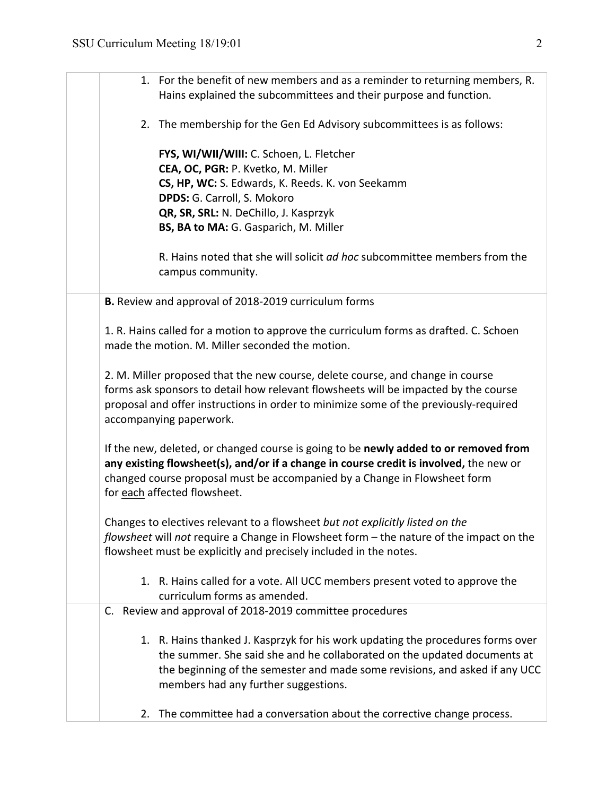|    | 1. For the benefit of new members and as a reminder to returning members, R.                                                                                                                                                                                                                |
|----|---------------------------------------------------------------------------------------------------------------------------------------------------------------------------------------------------------------------------------------------------------------------------------------------|
|    | Hains explained the subcommittees and their purpose and function.                                                                                                                                                                                                                           |
|    | 2. The membership for the Gen Ed Advisory subcommittees is as follows:                                                                                                                                                                                                                      |
|    | FYS, WI/WII/WIII: C. Schoen, L. Fletcher                                                                                                                                                                                                                                                    |
|    | CEA, OC, PGR: P. Kvetko, M. Miller<br>CS, HP, WC: S. Edwards, K. Reeds. K. von Seekamm                                                                                                                                                                                                      |
|    | DPDS: G. Carroll, S. Mokoro                                                                                                                                                                                                                                                                 |
|    | QR, SR, SRL: N. DeChillo, J. Kasprzyk                                                                                                                                                                                                                                                       |
|    | BS, BA to MA: G. Gasparich, M. Miller                                                                                                                                                                                                                                                       |
|    | R. Hains noted that she will solicit ad hoc subcommittee members from the<br>campus community.                                                                                                                                                                                              |
|    | B. Review and approval of 2018-2019 curriculum forms                                                                                                                                                                                                                                        |
|    | 1. R. Hains called for a motion to approve the curriculum forms as drafted. C. Schoen<br>made the motion. M. Miller seconded the motion.                                                                                                                                                    |
|    | 2. M. Miller proposed that the new course, delete course, and change in course<br>forms ask sponsors to detail how relevant flowsheets will be impacted by the course<br>proposal and offer instructions in order to minimize some of the previously-required<br>accompanying paperwork.    |
|    | If the new, deleted, or changed course is going to be newly added to or removed from<br>any existing flowsheet(s), and/or if a change in course credit is involved, the new or<br>changed course proposal must be accompanied by a Change in Flowsheet form<br>for each affected flowsheet. |
|    | Changes to electives relevant to a flowsheet but not explicitly listed on the<br>flowsheet will not require a Change in Flowsheet form - the nature of the impact on the<br>flowsheet must be explicitly and precisely included in the notes.                                               |
|    | 1. R. Hains called for a vote. All UCC members present voted to approve the<br>curriculum forms as amended.                                                                                                                                                                                 |
|    | C. Review and approval of 2018-2019 committee procedures                                                                                                                                                                                                                                    |
|    | 1. R. Hains thanked J. Kasprzyk for his work updating the procedures forms over<br>the summer. She said she and he collaborated on the updated documents at<br>the beginning of the semester and made some revisions, and asked if any UCC<br>members had any further suggestions.          |
| 2. | The committee had a conversation about the corrective change process.                                                                                                                                                                                                                       |